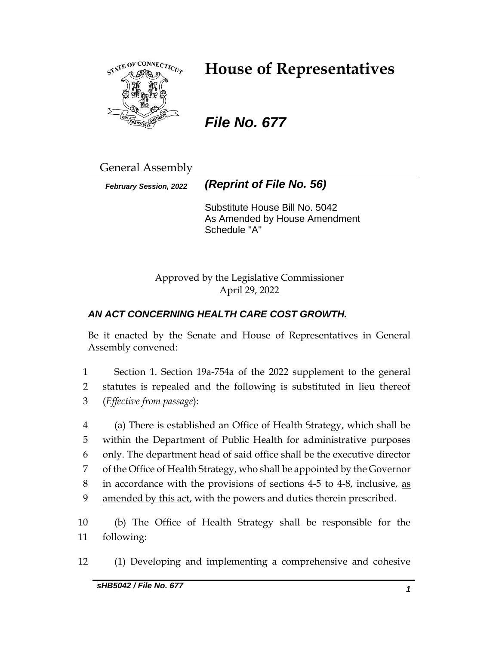

# **House of Representatives**

# *File No. 677*

General Assembly

*February Session, 2022 (Reprint of File No. 56)*

Substitute House Bill No. 5042 As Amended by House Amendment Schedule "A"

Approved by the Legislative Commissioner April 29, 2022

# *AN ACT CONCERNING HEALTH CARE COST GROWTH.*

Be it enacted by the Senate and House of Representatives in General Assembly convened:

1 Section 1. Section 19a-754a of the 2022 supplement to the general 2 statutes is repealed and the following is substituted in lieu thereof 3 (*Effective from passage*):

 (a) There is established an Office of Health Strategy, which shall be within the Department of Public Health for administrative purposes only. The department head of said office shall be the executive director of the Office of Health Strategy, who shall be appointed by the Governor in accordance with the provisions of sections 4-5 to 4-8, inclusive, as 9 amended by this act, with the powers and duties therein prescribed.

10 (b) The Office of Health Strategy shall be responsible for the 11 following:

12 (1) Developing and implementing a comprehensive and cohesive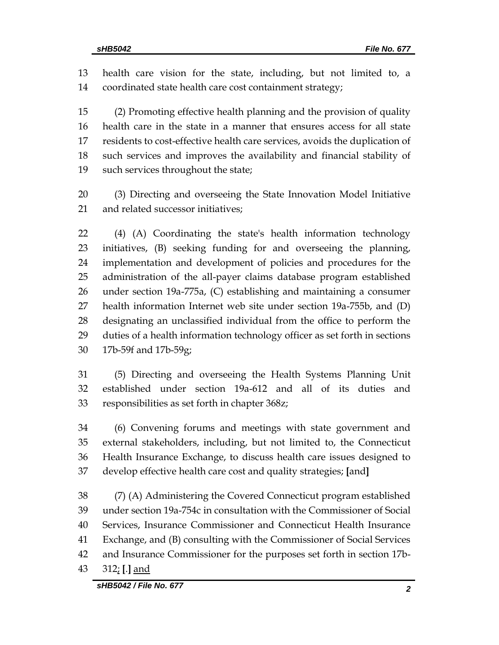health care vision for the state, including, but not limited to, a coordinated state health care cost containment strategy;

 (2) Promoting effective health planning and the provision of quality health care in the state in a manner that ensures access for all state residents to cost-effective health care services, avoids the duplication of such services and improves the availability and financial stability of such services throughout the state;

 (3) Directing and overseeing the State Innovation Model Initiative and related successor initiatives;

 (4) (A) Coordinating the state's health information technology initiatives, (B) seeking funding for and overseeing the planning, implementation and development of policies and procedures for the administration of the all-payer claims database program established under section 19a-775a, (C) establishing and maintaining a consumer health information Internet web site under section 19a-755b, and (D) designating an unclassified individual from the office to perform the duties of a health information technology officer as set forth in sections 17b-59f and 17b-59g;

 (5) Directing and overseeing the Health Systems Planning Unit established under section 19a-612 and all of its duties and responsibilities as set forth in chapter 368z;

 (6) Convening forums and meetings with state government and external stakeholders, including, but not limited to, the Connecticut Health Insurance Exchange, to discuss health care issues designed to develop effective health care cost and quality strategies; **[**and**]**

 (7) (A) Administering the Covered Connecticut program established under section 19a-754c in consultation with the Commissioner of Social Services, Insurance Commissioner and Connecticut Health Insurance Exchange, and (B) consulting with the Commissioner of Social Services and Insurance Commissioner for the purposes set forth in section 17b-312; **[**.**]** and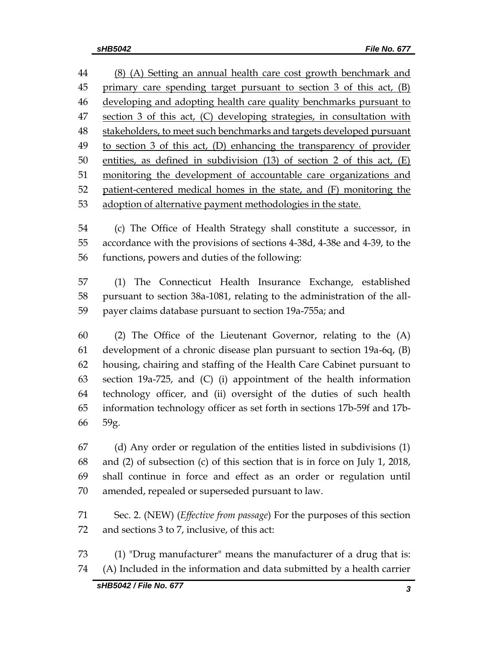(8) (A) Setting an annual health care cost growth benchmark and 45 primary care spending target pursuant to section 3 of this act, (B) developing and adopting health care quality benchmarks pursuant to section 3 of this act, (C) developing strategies, in consultation with stakeholders, to meet such benchmarks and targets developed pursuant to section 3 of this act, (D) enhancing the transparency of provider entities, as defined in subdivision (13) of section 2 of this act, (E) monitoring the development of accountable care organizations and patient-centered medical homes in the state, and (F) monitoring the adoption of alternative payment methodologies in the state.

 (c) The Office of Health Strategy shall constitute a successor, in accordance with the provisions of sections 4-38d, 4-38e and 4-39, to the functions, powers and duties of the following:

 (1) The Connecticut Health Insurance Exchange, established pursuant to section 38a-1081, relating to the administration of the all-payer claims database pursuant to section 19a-755a; and

 (2) The Office of the Lieutenant Governor, relating to the (A) development of a chronic disease plan pursuant to section 19a-6q, (B) housing, chairing and staffing of the Health Care Cabinet pursuant to section 19a-725, and (C) (i) appointment of the health information technology officer, and (ii) oversight of the duties of such health information technology officer as set forth in sections 17b-59f and 17b-59g.

 (d) Any order or regulation of the entities listed in subdivisions (1) and (2) of subsection (c) of this section that is in force on July 1, 2018, shall continue in force and effect as an order or regulation until amended, repealed or superseded pursuant to law.

 Sec. 2. (NEW) (*Effective from passage*) For the purposes of this section and sections 3 to 7, inclusive, of this act:

 (1) "Drug manufacturer" means the manufacturer of a drug that is: (A) Included in the information and data submitted by a health carrier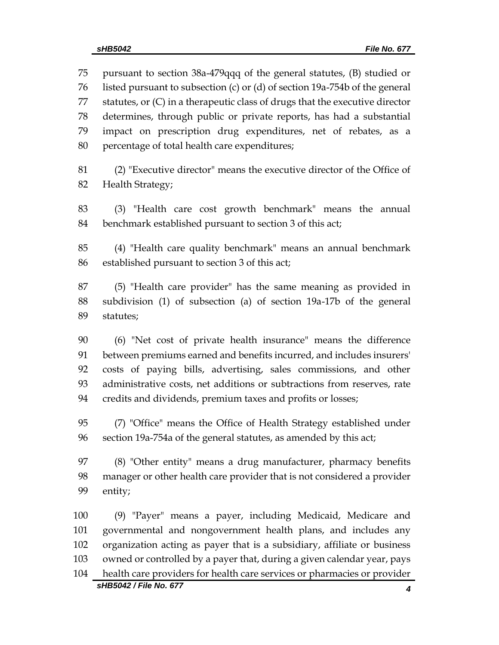pursuant to section 38a-479qqq of the general statutes, (B) studied or listed pursuant to subsection (c) or (d) of section 19a-754b of the general statutes, or (C) in a therapeutic class of drugs that the executive director determines, through public or private reports, has had a substantial impact on prescription drug expenditures, net of rebates, as a percentage of total health care expenditures;

 (2) "Executive director" means the executive director of the Office of Health Strategy;

 (3) "Health care cost growth benchmark" means the annual benchmark established pursuant to section 3 of this act;

 (4) "Health care quality benchmark" means an annual benchmark established pursuant to section 3 of this act;

 (5) "Health care provider" has the same meaning as provided in subdivision (1) of subsection (a) of section 19a-17b of the general statutes;

 (6) "Net cost of private health insurance" means the difference between premiums earned and benefits incurred, and includes insurers' costs of paying bills, advertising, sales commissions, and other administrative costs, net additions or subtractions from reserves, rate credits and dividends, premium taxes and profits or losses;

 (7) "Office" means the Office of Health Strategy established under section 19a-754a of the general statutes, as amended by this act;

 (8) "Other entity" means a drug manufacturer, pharmacy benefits manager or other health care provider that is not considered a provider entity;

*sHB5042 / File No. 677 4* (9) "Payer" means a payer, including Medicaid, Medicare and governmental and nongovernment health plans, and includes any organization acting as payer that is a subsidiary, affiliate or business owned or controlled by a payer that, during a given calendar year, pays health care providers for health care services or pharmacies or provider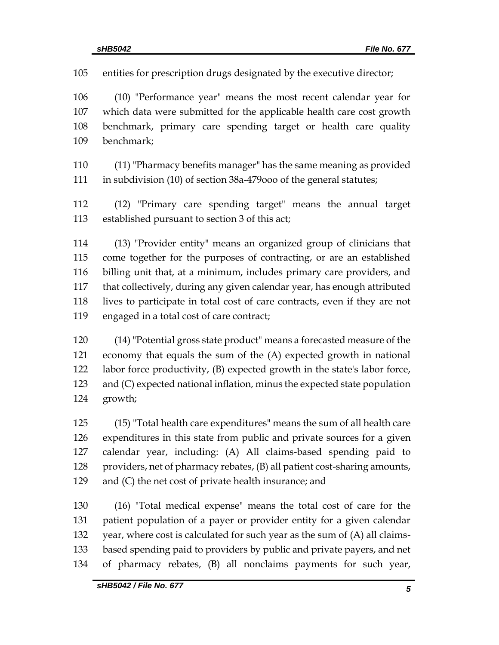entities for prescription drugs designated by the executive director;

 (10) "Performance year" means the most recent calendar year for which data were submitted for the applicable health care cost growth benchmark, primary care spending target or health care quality benchmark;

 (11) "Pharmacy benefits manager" has the same meaning as provided in subdivision (10) of section 38a-479ooo of the general statutes;

 (12) "Primary care spending target" means the annual target established pursuant to section 3 of this act;

 (13) "Provider entity" means an organized group of clinicians that come together for the purposes of contracting, or are an established billing unit that, at a minimum, includes primary care providers, and that collectively, during any given calendar year, has enough attributed lives to participate in total cost of care contracts, even if they are not engaged in a total cost of care contract;

 (14) "Potential gross state product" means a forecasted measure of the economy that equals the sum of the (A) expected growth in national labor force productivity, (B) expected growth in the state's labor force, and (C) expected national inflation, minus the expected state population growth;

 (15) "Total health care expenditures" means the sum of all health care expenditures in this state from public and private sources for a given calendar year, including: (A) All claims-based spending paid to 128 providers, net of pharmacy rebates, (B) all patient cost-sharing amounts, and (C) the net cost of private health insurance; and

 (16) "Total medical expense" means the total cost of care for the patient population of a payer or provider entity for a given calendar year, where cost is calculated for such year as the sum of (A) all claims- based spending paid to providers by public and private payers, and net of pharmacy rebates, (B) all nonclaims payments for such year,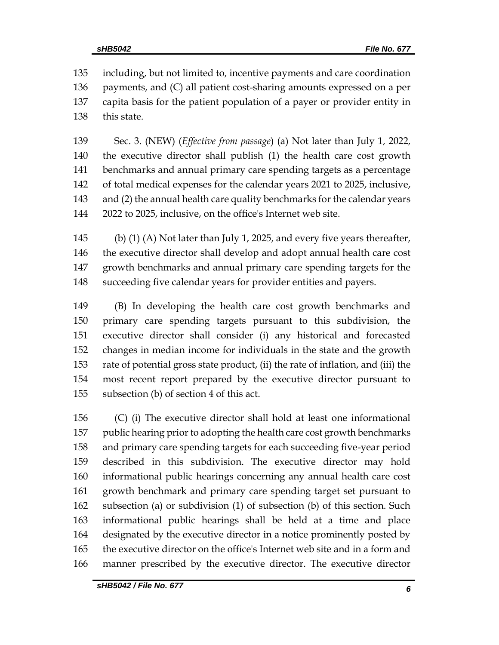including, but not limited to, incentive payments and care coordination payments, and (C) all patient cost-sharing amounts expressed on a per capita basis for the patient population of a payer or provider entity in this state.

 Sec. 3. (NEW) (*Effective from passage*) (a) Not later than July 1, 2022, the executive director shall publish (1) the health care cost growth benchmarks and annual primary care spending targets as a percentage of total medical expenses for the calendar years 2021 to 2025, inclusive, and (2) the annual health care quality benchmarks for the calendar years 2022 to 2025, inclusive, on the office's Internet web site.

 (b) (1) (A) Not later than July 1, 2025, and every five years thereafter, the executive director shall develop and adopt annual health care cost growth benchmarks and annual primary care spending targets for the succeeding five calendar years for provider entities and payers.

 (B) In developing the health care cost growth benchmarks and primary care spending targets pursuant to this subdivision, the executive director shall consider (i) any historical and forecasted changes in median income for individuals in the state and the growth rate of potential gross state product, (ii) the rate of inflation, and (iii) the most recent report prepared by the executive director pursuant to subsection (b) of section 4 of this act.

 (C) (i) The executive director shall hold at least one informational public hearing prior to adopting the health care cost growth benchmarks and primary care spending targets for each succeeding five-year period described in this subdivision. The executive director may hold informational public hearings concerning any annual health care cost growth benchmark and primary care spending target set pursuant to subsection (a) or subdivision (1) of subsection (b) of this section. Such informational public hearings shall be held at a time and place designated by the executive director in a notice prominently posted by the executive director on the office's Internet web site and in a form and manner prescribed by the executive director. The executive director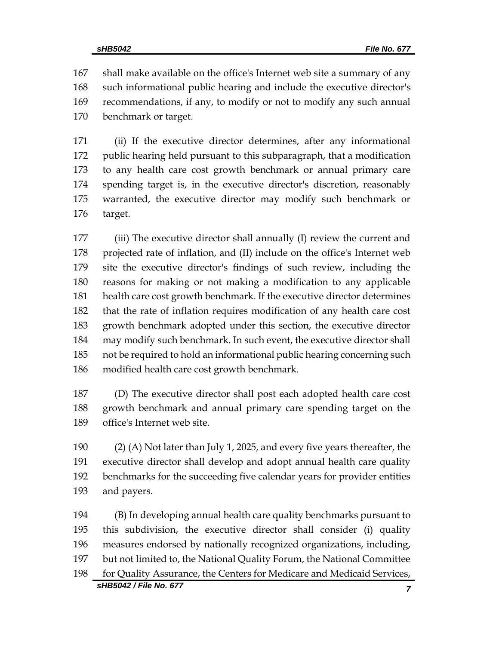shall make available on the office's Internet web site a summary of any such informational public hearing and include the executive director's recommendations, if any, to modify or not to modify any such annual benchmark or target.

 (ii) If the executive director determines, after any informational public hearing held pursuant to this subparagraph, that a modification to any health care cost growth benchmark or annual primary care spending target is, in the executive director's discretion, reasonably warranted, the executive director may modify such benchmark or target.

 (iii) The executive director shall annually (I) review the current and projected rate of inflation, and (II) include on the office's Internet web site the executive director's findings of such review, including the reasons for making or not making a modification to any applicable health care cost growth benchmark. If the executive director determines that the rate of inflation requires modification of any health care cost growth benchmark adopted under this section, the executive director may modify such benchmark. In such event, the executive director shall not be required to hold an informational public hearing concerning such modified health care cost growth benchmark.

 (D) The executive director shall post each adopted health care cost growth benchmark and annual primary care spending target on the office's Internet web site.

 (2) (A) Not later than July 1, 2025, and every five years thereafter, the executive director shall develop and adopt annual health care quality benchmarks for the succeeding five calendar years for provider entities and payers.

*sHB5042 / File No. 677 7* (B) In developing annual health care quality benchmarks pursuant to this subdivision, the executive director shall consider (i) quality measures endorsed by nationally recognized organizations, including, but not limited to, the National Quality Forum, the National Committee for Quality Assurance, the Centers for Medicare and Medicaid Services,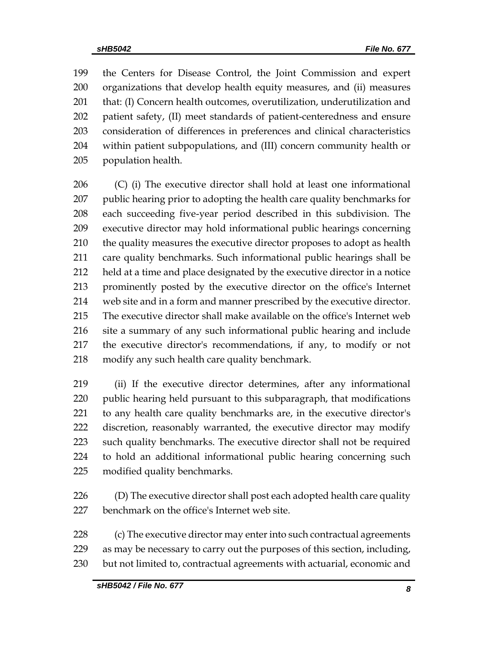the Centers for Disease Control, the Joint Commission and expert organizations that develop health equity measures, and (ii) measures 201 that: (I) Concern health outcomes, overutilization, underutilization and patient safety, (II) meet standards of patient-centeredness and ensure consideration of differences in preferences and clinical characteristics within patient subpopulations, and (III) concern community health or population health.

 (C) (i) The executive director shall hold at least one informational public hearing prior to adopting the health care quality benchmarks for each succeeding five-year period described in this subdivision. The executive director may hold informational public hearings concerning 210 the quality measures the executive director proposes to adopt as health care quality benchmarks. Such informational public hearings shall be held at a time and place designated by the executive director in a notice prominently posted by the executive director on the office's Internet web site and in a form and manner prescribed by the executive director. The executive director shall make available on the office's Internet web site a summary of any such informational public hearing and include the executive director's recommendations, if any, to modify or not modify any such health care quality benchmark.

 (ii) If the executive director determines, after any informational 220 public hearing held pursuant to this subparagraph, that modifications to any health care quality benchmarks are, in the executive director's discretion, reasonably warranted, the executive director may modify such quality benchmarks. The executive director shall not be required to hold an additional informational public hearing concerning such modified quality benchmarks.

226 (D) The executive director shall post each adopted health care quality benchmark on the office's Internet web site.

228 (c) The executive director may enter into such contractual agreements as may be necessary to carry out the purposes of this section, including, but not limited to, contractual agreements with actuarial, economic and

*sHB5042 / File No. 677 8*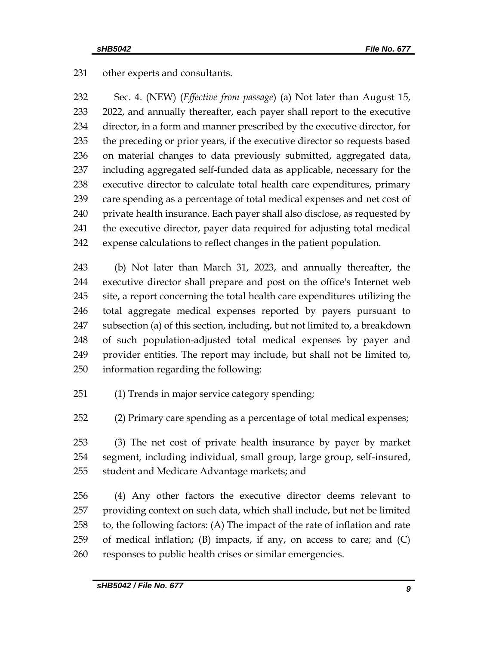other experts and consultants.

 Sec. 4. (NEW) (*Effective from passage*) (a) Not later than August 15, 2022, and annually thereafter, each payer shall report to the executive director, in a form and manner prescribed by the executive director, for the preceding or prior years, if the executive director so requests based on material changes to data previously submitted, aggregated data, including aggregated self-funded data as applicable, necessary for the executive director to calculate total health care expenditures, primary care spending as a percentage of total medical expenses and net cost of 240 private health insurance. Each payer shall also disclose, as requested by the executive director, payer data required for adjusting total medical expense calculations to reflect changes in the patient population.

 (b) Not later than March 31, 2023, and annually thereafter, the executive director shall prepare and post on the office's Internet web site, a report concerning the total health care expenditures utilizing the total aggregate medical expenses reported by payers pursuant to subsection (a) of this section, including, but not limited to, a breakdown of such population-adjusted total medical expenses by payer and provider entities. The report may include, but shall not be limited to, information regarding the following:

(1) Trends in major service category spending;

(2) Primary care spending as a percentage of total medical expenses;

 (3) The net cost of private health insurance by payer by market segment, including individual, small group, large group, self-insured, student and Medicare Advantage markets; and

 (4) Any other factors the executive director deems relevant to providing context on such data, which shall include, but not be limited to, the following factors: (A) The impact of the rate of inflation and rate 259 of medical inflation; (B) impacts, if any, on access to care; and  $(C)$ responses to public health crises or similar emergencies.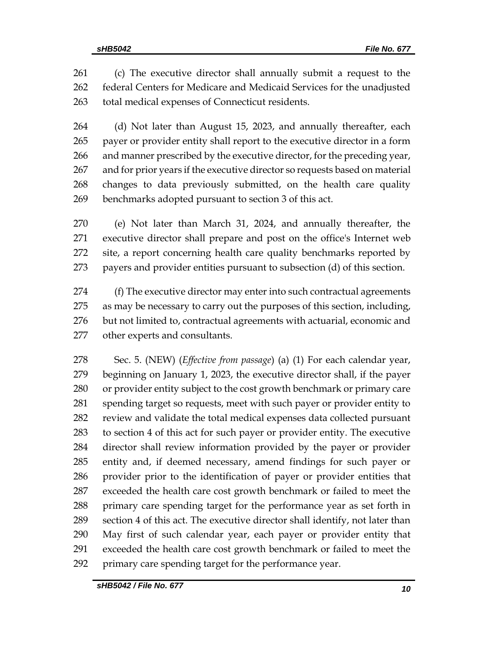(c) The executive director shall annually submit a request to the federal Centers for Medicare and Medicaid Services for the unadjusted total medical expenses of Connecticut residents.

264 (d) Not later than August 15, 2023, and annually thereafter, each payer or provider entity shall report to the executive director in a form 266 and manner prescribed by the executive director, for the preceding year, and for prior years if the executive director so requests based on material changes to data previously submitted, on the health care quality benchmarks adopted pursuant to section 3 of this act.

 (e) Not later than March 31, 2024, and annually thereafter, the executive director shall prepare and post on the office's Internet web site, a report concerning health care quality benchmarks reported by payers and provider entities pursuant to subsection (d) of this section.

274 (f) The executive director may enter into such contractual agreements as may be necessary to carry out the purposes of this section, including, but not limited to, contractual agreements with actuarial, economic and other experts and consultants.

 Sec. 5. (NEW) (*Effective from passage*) (a) (1) For each calendar year, beginning on January 1, 2023, the executive director shall, if the payer or provider entity subject to the cost growth benchmark or primary care spending target so requests, meet with such payer or provider entity to review and validate the total medical expenses data collected pursuant to section 4 of this act for such payer or provider entity. The executive director shall review information provided by the payer or provider entity and, if deemed necessary, amend findings for such payer or provider prior to the identification of payer or provider entities that exceeded the health care cost growth benchmark or failed to meet the primary care spending target for the performance year as set forth in section 4 of this act. The executive director shall identify, not later than May first of such calendar year, each payer or provider entity that exceeded the health care cost growth benchmark or failed to meet the primary care spending target for the performance year.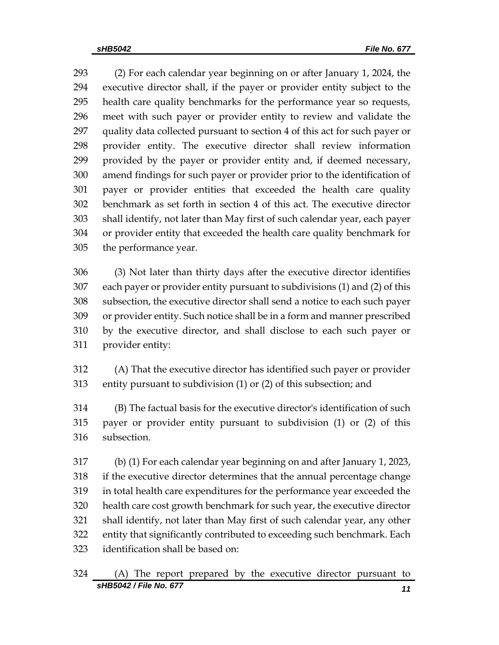(2) For each calendar year beginning on or after January 1, 2024, the executive director shall, if the payer or provider entity subject to the health care quality benchmarks for the performance year so requests, meet with such payer or provider entity to review and validate the quality data collected pursuant to section 4 of this act for such payer or provider entity. The executive director shall review information provided by the payer or provider entity and, if deemed necessary, amend findings for such payer or provider prior to the identification of payer or provider entities that exceeded the health care quality benchmark as set forth in section 4 of this act. The executive director shall identify, not later than May first of such calendar year, each payer or provider entity that exceeded the health care quality benchmark for the performance year.

 (3) Not later than thirty days after the executive director identifies each payer or provider entity pursuant to subdivisions (1) and (2) of this subsection, the executive director shall send a notice to each such payer or provider entity. Such notice shall be in a form and manner prescribed by the executive director, and shall disclose to each such payer or provider entity:

 (A) That the executive director has identified such payer or provider entity pursuant to subdivision (1) or (2) of this subsection; and

 (B) The factual basis for the executive director's identification of such payer or provider entity pursuant to subdivision (1) or (2) of this subsection.

 (b) (1) For each calendar year beginning on and after January 1, 2023, if the executive director determines that the annual percentage change in total health care expenditures for the performance year exceeded the health care cost growth benchmark for such year, the executive director shall identify, not later than May first of such calendar year, any other entity that significantly contributed to exceeding such benchmark. Each identification shall be based on: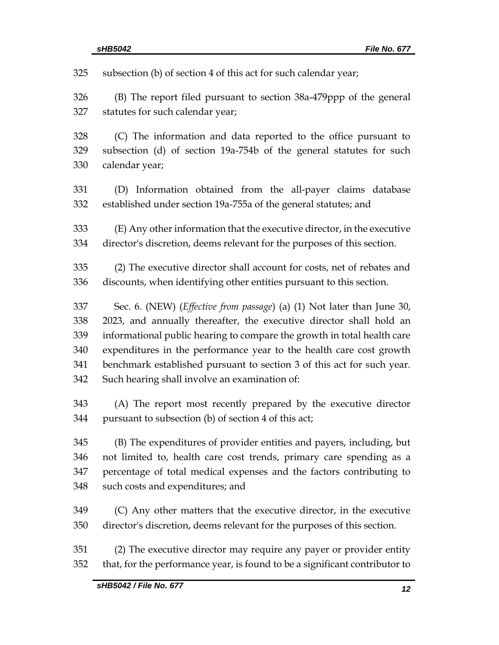| 325 | subsection (b) of section 4 of this act for such calendar year;                 |
|-----|---------------------------------------------------------------------------------|
| 326 | (B) The report filed pursuant to section 38a-479ppp of the general              |
| 327 | statutes for such calendar year;                                                |
| 328 | (C) The information and data reported to the office pursuant to                 |
| 329 | subsection (d) of section 19a-754b of the general statutes for such             |
| 330 | calendar year;                                                                  |
| 331 | (D) Information obtained from the all-payer claims database                     |
| 332 | established under section 19a-755a of the general statutes; and                 |
| 333 | (E) Any other information that the executive director, in the executive         |
| 334 | director's discretion, deems relevant for the purposes of this section.         |
| 335 | (2) The executive director shall account for costs, net of rebates and          |
| 336 | discounts, when identifying other entities pursuant to this section.            |
| 337 | Sec. 6. (NEW) ( <i>Effective from passage</i> ) (a) (1) Not later than June 30, |
| 338 | 2023, and annually thereafter, the executive director shall hold an             |
| 339 | informational public hearing to compare the growth in total health care         |
| 340 | expenditures in the performance year to the health care cost growth             |
| 341 | benchmark established pursuant to section 3 of this act for such year.          |
| 342 | Such hearing shall involve an examination of:                                   |
| 343 | (A) The report most recently prepared by the executive director                 |
| 344 | pursuant to subsection (b) of section 4 of this act;                            |
| 345 | (B) The expenditures of provider entities and payers, including, but            |
| 346 | not limited to, health care cost trends, primary care spending as a             |
| 347 | percentage of total medical expenses and the factors contributing to            |
| 348 | such costs and expenditures; and                                                |
| 349 | (C) Any other matters that the executive director, in the executive             |
| 350 | director's discretion, deems relevant for the purposes of this section.         |
| 351 | (2) The executive director may require any payer or provider entity             |
| 352 | that, for the performance year, is found to be a significant contributor to     |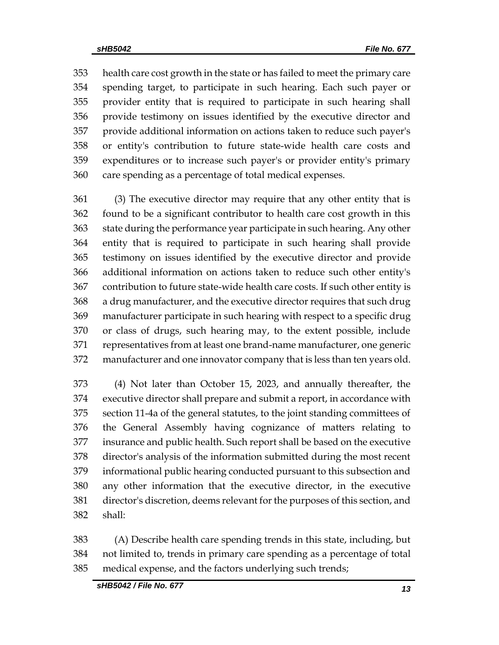health care cost growth in the state or has failed to meet the primary care spending target, to participate in such hearing. Each such payer or provider entity that is required to participate in such hearing shall provide testimony on issues identified by the executive director and provide additional information on actions taken to reduce such payer's or entity's contribution to future state-wide health care costs and expenditures or to increase such payer's or provider entity's primary care spending as a percentage of total medical expenses.

 (3) The executive director may require that any other entity that is found to be a significant contributor to health care cost growth in this state during the performance year participate in such hearing. Any other entity that is required to participate in such hearing shall provide testimony on issues identified by the executive director and provide additional information on actions taken to reduce such other entity's contribution to future state-wide health care costs. If such other entity is a drug manufacturer, and the executive director requires that such drug manufacturer participate in such hearing with respect to a specific drug or class of drugs, such hearing may, to the extent possible, include representatives from at least one brand-name manufacturer, one generic manufacturer and one innovator company that is less than ten years old.

 (4) Not later than October 15, 2023, and annually thereafter, the executive director shall prepare and submit a report, in accordance with section 11-4a of the general statutes, to the joint standing committees of the General Assembly having cognizance of matters relating to insurance and public health. Such report shall be based on the executive director's analysis of the information submitted during the most recent informational public hearing conducted pursuant to this subsection and any other information that the executive director, in the executive director's discretion, deems relevant for the purposes of this section, and shall:

 (A) Describe health care spending trends in this state, including, but not limited to, trends in primary care spending as a percentage of total medical expense, and the factors underlying such trends;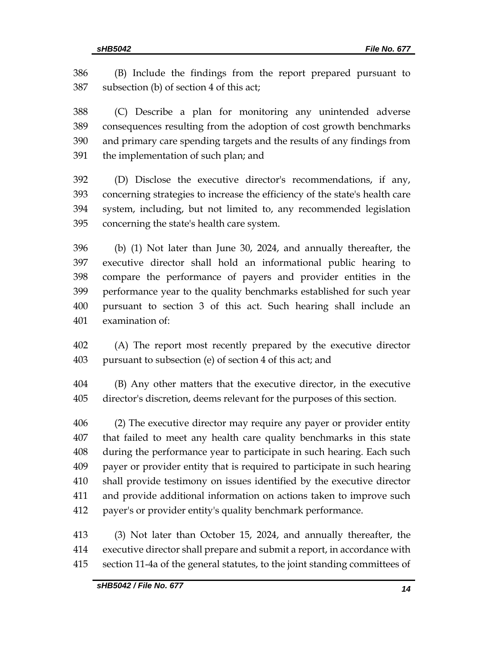(B) Include the findings from the report prepared pursuant to subsection (b) of section 4 of this act;

 (C) Describe a plan for monitoring any unintended adverse consequences resulting from the adoption of cost growth benchmarks and primary care spending targets and the results of any findings from the implementation of such plan; and

 (D) Disclose the executive director's recommendations, if any, concerning strategies to increase the efficiency of the state's health care system, including, but not limited to, any recommended legislation concerning the state's health care system.

 (b) (1) Not later than June 30, 2024, and annually thereafter, the executive director shall hold an informational public hearing to compare the performance of payers and provider entities in the performance year to the quality benchmarks established for such year pursuant to section 3 of this act. Such hearing shall include an examination of:

 (A) The report most recently prepared by the executive director pursuant to subsection (e) of section 4 of this act; and

 (B) Any other matters that the executive director, in the executive director's discretion, deems relevant for the purposes of this section.

 (2) The executive director may require any payer or provider entity that failed to meet any health care quality benchmarks in this state during the performance year to participate in such hearing. Each such payer or provider entity that is required to participate in such hearing shall provide testimony on issues identified by the executive director and provide additional information on actions taken to improve such payer's or provider entity's quality benchmark performance.

 (3) Not later than October 15, 2024, and annually thereafter, the executive director shall prepare and submit a report, in accordance with section 11-4a of the general statutes, to the joint standing committees of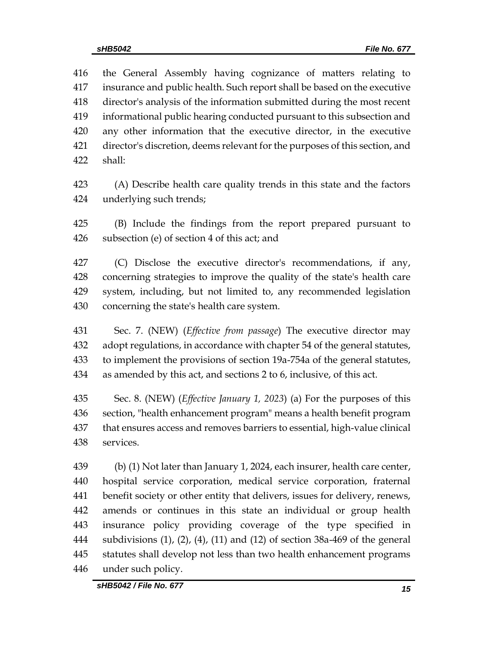the General Assembly having cognizance of matters relating to insurance and public health. Such report shall be based on the executive director's analysis of the information submitted during the most recent informational public hearing conducted pursuant to this subsection and any other information that the executive director, in the executive director's discretion, deems relevant for the purposes of this section, and shall:

 (A) Describe health care quality trends in this state and the factors underlying such trends;

 (B) Include the findings from the report prepared pursuant to subsection (e) of section 4 of this act; and

 (C) Disclose the executive director's recommendations, if any, concerning strategies to improve the quality of the state's health care system, including, but not limited to, any recommended legislation concerning the state's health care system.

 Sec. 7. (NEW) (*Effective from passage*) The executive director may adopt regulations, in accordance with chapter 54 of the general statutes, to implement the provisions of section 19a-754a of the general statutes, as amended by this act, and sections 2 to 6, inclusive, of this act.

 Sec. 8. (NEW) (*Effective January 1, 2023*) (a) For the purposes of this section, "health enhancement program" means a health benefit program that ensures access and removes barriers to essential, high-value clinical services.

 (b) (1) Not later than January 1, 2024, each insurer, health care center, hospital service corporation, medical service corporation, fraternal benefit society or other entity that delivers, issues for delivery, renews, amends or continues in this state an individual or group health insurance policy providing coverage of the type specified in subdivisions (1), (2), (4), (11) and (12) of section 38a-469 of the general statutes shall develop not less than two health enhancement programs under such policy.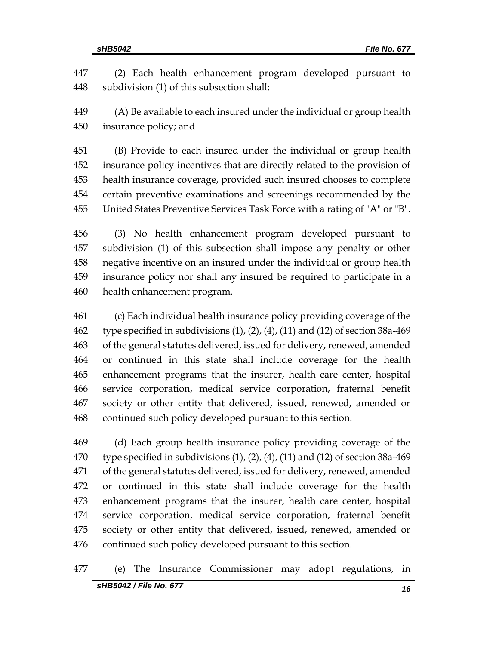(2) Each health enhancement program developed pursuant to subdivision (1) of this subsection shall:

 (A) Be available to each insured under the individual or group health insurance policy; and

 (B) Provide to each insured under the individual or group health insurance policy incentives that are directly related to the provision of health insurance coverage, provided such insured chooses to complete certain preventive examinations and screenings recommended by the United States Preventive Services Task Force with a rating of "A" or "B".

 (3) No health enhancement program developed pursuant to subdivision (1) of this subsection shall impose any penalty or other negative incentive on an insured under the individual or group health insurance policy nor shall any insured be required to participate in a health enhancement program.

 (c) Each individual health insurance policy providing coverage of the 462 type specified in subdivisions  $(1)$ ,  $(2)$ ,  $(4)$ ,  $(11)$  and  $(12)$  of section 38a-469 of the general statutes delivered, issued for delivery, renewed, amended or continued in this state shall include coverage for the health enhancement programs that the insurer, health care center, hospital service corporation, medical service corporation, fraternal benefit society or other entity that delivered, issued, renewed, amended or continued such policy developed pursuant to this section.

 (d) Each group health insurance policy providing coverage of the 470 type specified in subdivisions  $(1)$ ,  $(2)$ ,  $(4)$ ,  $(11)$  and  $(12)$  of section 38a-469 of the general statutes delivered, issued for delivery, renewed, amended or continued in this state shall include coverage for the health enhancement programs that the insurer, health care center, hospital service corporation, medical service corporation, fraternal benefit society or other entity that delivered, issued, renewed, amended or continued such policy developed pursuant to this section.

(e) The Insurance Commissioner may adopt regulations, in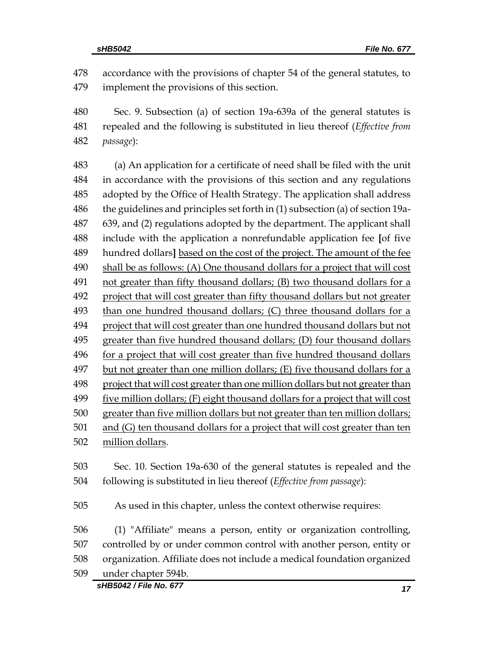accordance with the provisions of chapter 54 of the general statutes, to implement the provisions of this section.

 Sec. 9. Subsection (a) of section 19a-639a of the general statutes is repealed and the following is substituted in lieu thereof (*Effective from passage*):

 (a) An application for a certificate of need shall be filed with the unit in accordance with the provisions of this section and any regulations adopted by the Office of Health Strategy. The application shall address the guidelines and principles set forth in (1) subsection (a) of section 19a- 639, and (2) regulations adopted by the department. The applicant shall include with the application a nonrefundable application fee **[**of five hundred dollars**]** based on the cost of the project. The amount of the fee shall be as follows: (A) One thousand dollars for a project that will cost not greater than fifty thousand dollars; (B) two thousand dollars for a project that will cost greater than fifty thousand dollars but not greater than one hundred thousand dollars; (C) three thousand dollars for a project that will cost greater than one hundred thousand dollars but not greater than five hundred thousand dollars; (D) four thousand dollars for a project that will cost greater than five hundred thousand dollars but not greater than one million dollars; (E) five thousand dollars for a project that will cost greater than one million dollars but not greater than five million dollars; (F) eight thousand dollars for a project that will cost 500 greater than five million dollars but not greater than ten million dollars; 501 and (G) ten thousand dollars for a project that will cost greater than ten million dollars. Sec. 10. Section 19a-630 of the general statutes is repealed and the following is substituted in lieu thereof (*Effective from passage*):

As used in this chapter, unless the context otherwise requires:

 (1) "Affiliate" means a person, entity or organization controlling, controlled by or under common control with another person, entity or organization. Affiliate does not include a medical foundation organized under chapter 594b.

*sHB5042 / File No. 677 17*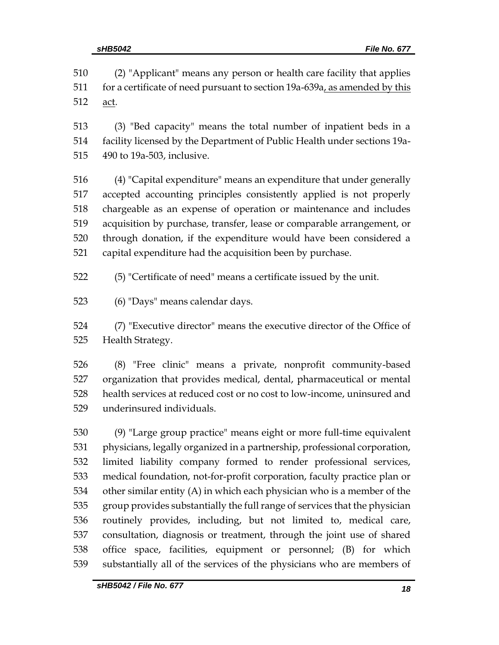(2) "Applicant" means any person or health care facility that applies 511 for a certificate of need pursuant to section 19a-639a, as amended by this act.

 (3) "Bed capacity" means the total number of inpatient beds in a facility licensed by the Department of Public Health under sections 19a-490 to 19a-503, inclusive.

 (4) "Capital expenditure" means an expenditure that under generally accepted accounting principles consistently applied is not properly chargeable as an expense of operation or maintenance and includes acquisition by purchase, transfer, lease or comparable arrangement, or through donation, if the expenditure would have been considered a capital expenditure had the acquisition been by purchase.

(5) "Certificate of need" means a certificate issued by the unit.

(6) "Days" means calendar days.

 (7) "Executive director" means the executive director of the Office of Health Strategy.

 (8) "Free clinic" means a private, nonprofit community-based organization that provides medical, dental, pharmaceutical or mental health services at reduced cost or no cost to low-income, uninsured and underinsured individuals.

 (9) "Large group practice" means eight or more full-time equivalent physicians, legally organized in a partnership, professional corporation, limited liability company formed to render professional services, medical foundation, not-for-profit corporation, faculty practice plan or other similar entity (A) in which each physician who is a member of the group provides substantially the full range of services that the physician routinely provides, including, but not limited to, medical care, consultation, diagnosis or treatment, through the joint use of shared office space, facilities, equipment or personnel; (B) for which substantially all of the services of the physicians who are members of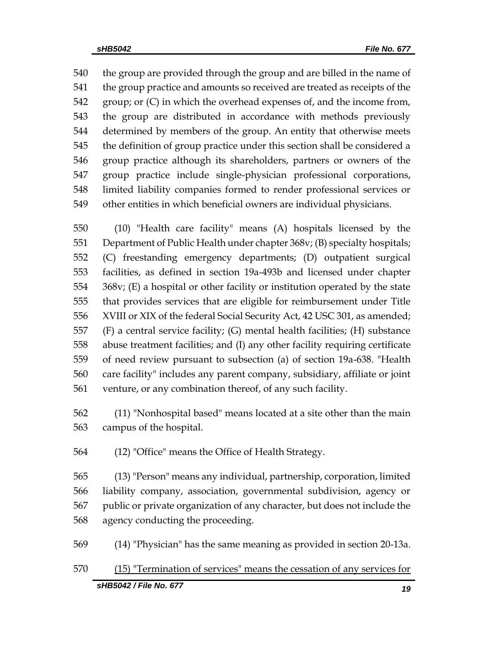540 the group are provided through the group and are billed in the name of the group practice and amounts so received are treated as receipts of the group; or (C) in which the overhead expenses of, and the income from, the group are distributed in accordance with methods previously determined by members of the group. An entity that otherwise meets the definition of group practice under this section shall be considered a group practice although its shareholders, partners or owners of the group practice include single-physician professional corporations, limited liability companies formed to render professional services or other entities in which beneficial owners are individual physicians.

 (10) "Health care facility" means (A) hospitals licensed by the Department of Public Health under chapter 368v; (B) specialty hospitals; (C) freestanding emergency departments; (D) outpatient surgical facilities, as defined in section 19a-493b and licensed under chapter 368v; (E) a hospital or other facility or institution operated by the state that provides services that are eligible for reimbursement under Title XVIII or XIX of the federal Social Security Act, 42 USC 301, as amended; (F) a central service facility; (G) mental health facilities; (H) substance abuse treatment facilities; and (I) any other facility requiring certificate of need review pursuant to subsection (a) of section 19a-638. "Health care facility" includes any parent company, subsidiary, affiliate or joint venture, or any combination thereof, of any such facility.

 (11) "Nonhospital based" means located at a site other than the main campus of the hospital.

(12) "Office" means the Office of Health Strategy.

 (13) "Person" means any individual, partnership, corporation, limited liability company, association, governmental subdivision, agency or public or private organization of any character, but does not include the agency conducting the proceeding.

(14) "Physician" has the same meaning as provided in section 20-13a.

(15) "Termination of services" means the cessation of any services for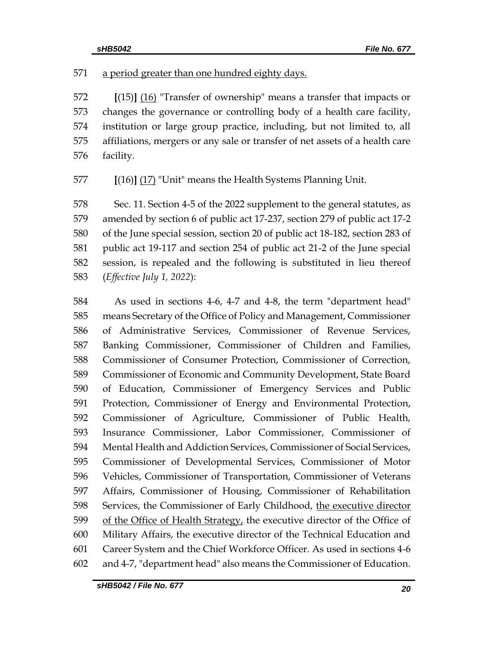571 a period greater than one hundred eighty days.

 **[**(15)**]** (16) "Transfer of ownership" means a transfer that impacts or changes the governance or controlling body of a health care facility, institution or large group practice, including, but not limited to, all affiliations, mergers or any sale or transfer of net assets of a health care facility.

**[**(16)**]** (17) "Unit" means the Health Systems Planning Unit.

 Sec. 11. Section 4-5 of the 2022 supplement to the general statutes, as amended by section 6 of public act 17-237, section 279 of public act 17-2 of the June special session, section 20 of public act 18-182, section 283 of public act 19-117 and section 254 of public act 21-2 of the June special session, is repealed and the following is substituted in lieu thereof (*Effective July 1, 2022*):

 As used in sections 4-6, 4-7 and 4-8, the term "department head" means Secretary of the Office of Policy and Management, Commissioner of Administrative Services, Commissioner of Revenue Services, Banking Commissioner, Commissioner of Children and Families, Commissioner of Consumer Protection, Commissioner of Correction, Commissioner of Economic and Community Development, State Board of Education, Commissioner of Emergency Services and Public Protection, Commissioner of Energy and Environmental Protection, Commissioner of Agriculture, Commissioner of Public Health, Insurance Commissioner, Labor Commissioner, Commissioner of Mental Health and Addiction Services, Commissioner of Social Services, Commissioner of Developmental Services, Commissioner of Motor Vehicles, Commissioner of Transportation, Commissioner of Veterans Affairs, Commissioner of Housing, Commissioner of Rehabilitation 598 Services, the Commissioner of Early Childhood, the executive director of the Office of Health Strategy, the executive director of the Office of Military Affairs, the executive director of the Technical Education and Career System and the Chief Workforce Officer. As used in sections 4-6 and 4-7, "department head" also means the Commissioner of Education.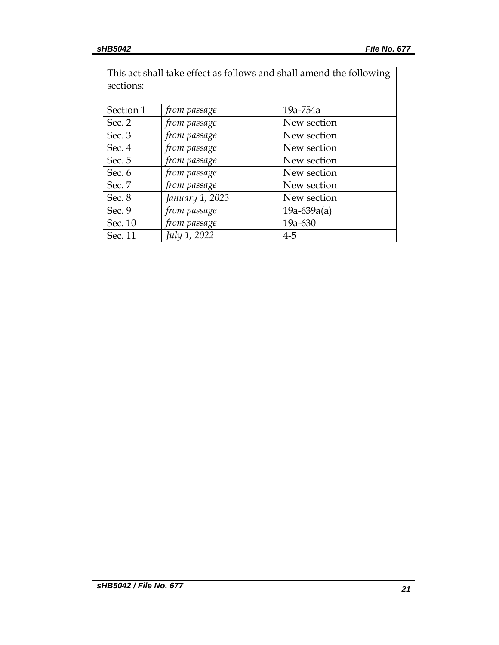| This act shall take effect as follows and shall amend the following |                 |               |  |  |
|---------------------------------------------------------------------|-----------------|---------------|--|--|
| sections:                                                           |                 |               |  |  |
|                                                                     |                 |               |  |  |
| Section 1                                                           | from passage    | 19a-754a      |  |  |
| Sec. 2                                                              | from passage    | New section   |  |  |
| Sec. 3                                                              | from passage    | New section   |  |  |
| Sec. 4                                                              | from passage    | New section   |  |  |
| Sec. 5                                                              | from passage    | New section   |  |  |
| Sec. 6                                                              | from passage    | New section   |  |  |
| Sec. 7                                                              | from passage    | New section   |  |  |
| Sec. 8                                                              | January 1, 2023 | New section   |  |  |
| Sec. 9                                                              | from passage    | $19a-639a(a)$ |  |  |
| Sec. 10                                                             | from passage    | 19a-630       |  |  |
| Sec. 11                                                             | July 1, 2022    | $4 - 5$       |  |  |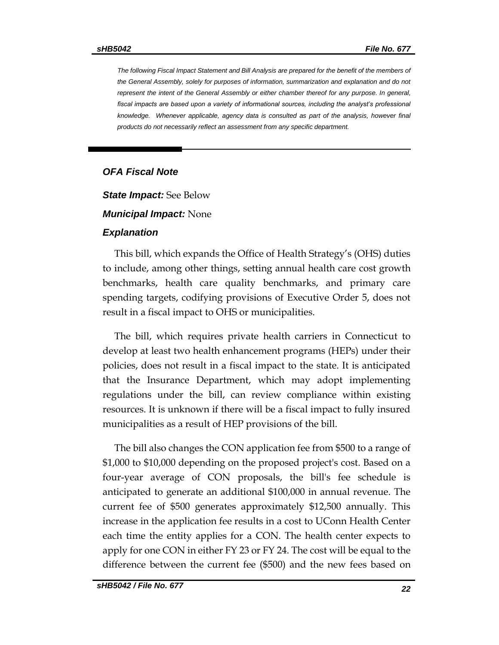*The following Fiscal Impact Statement and Bill Analysis are prepared for the benefit of the members of the General Assembly, solely for purposes of information, summarization and explanation and do not represent the intent of the General Assembly or either chamber thereof for any purpose. In general, fiscal impacts are based upon a variety of informational sources, including the analyst's professional knowledge. Whenever applicable, agency data is consulted as part of the analysis, however final products do not necessarily reflect an assessment from any specific department.*

#### *OFA Fiscal Note*

*State Impact:* See Below

#### *Municipal Impact:* None

#### *Explanation*

This bill, which expands the Office of Health Strategy's (OHS) duties to include, among other things, setting annual health care cost growth benchmarks, health care quality benchmarks, and primary care spending targets, codifying provisions of Executive Order 5, does not result in a fiscal impact to OHS or municipalities.

The bill, which requires private health carriers in Connecticut to develop at least two health enhancement programs (HEPs) under their policies, does not result in a fiscal impact to the state. It is anticipated that the Insurance Department, which may adopt implementing regulations under the bill, can review compliance within existing resources. It is unknown if there will be a fiscal impact to fully insured municipalities as a result of HEP provisions of the bill.

The bill also changes the CON application fee from \$500 to a range of \$1,000 to \$10,000 depending on the proposed project's cost. Based on a four-year average of CON proposals, the bill's fee schedule is anticipated to generate an additional \$100,000 in annual revenue. The current fee of \$500 generates approximately \$12,500 annually. This increase in the application fee results in a cost to UConn Health Center each time the entity applies for a CON. The health center expects to apply for one CON in either FY 23 or FY 24. The cost will be equal to the difference between the current fee (\$500) and the new fees based on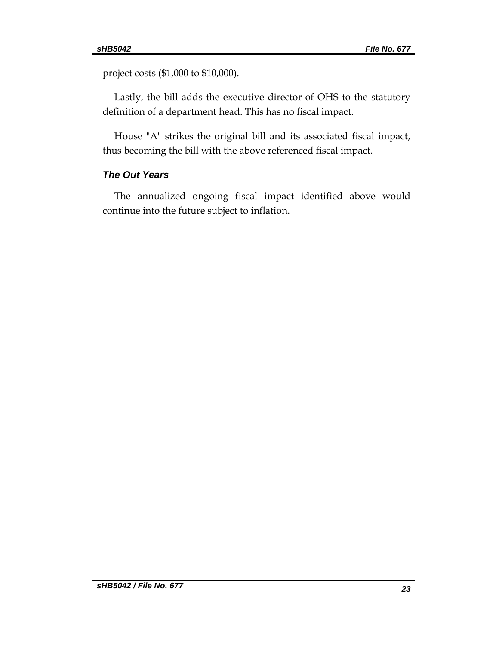project costs (\$1,000 to \$10,000).

Lastly, the bill adds the executive director of OHS to the statutory definition of a department head. This has no fiscal impact.

House "A" strikes the original bill and its associated fiscal impact, thus becoming the bill with the above referenced fiscal impact.

### *The Out Years*

The annualized ongoing fiscal impact identified above would continue into the future subject to inflation.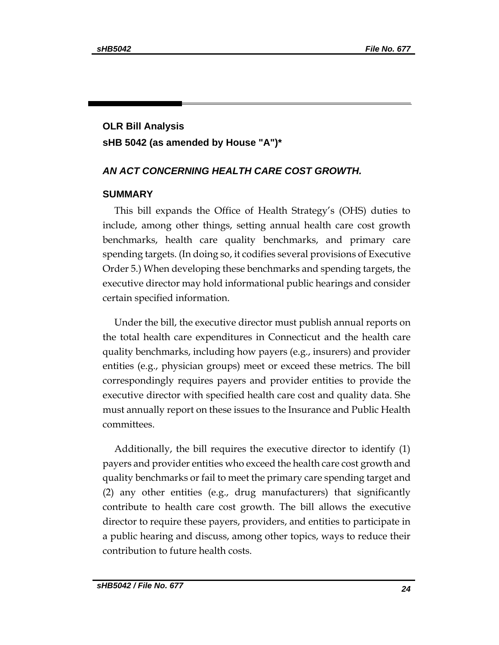# **OLR Bill Analysis sHB 5042 (as amended by House "A")\***

#### *AN ACT CONCERNING HEALTH CARE COST GROWTH.*

#### **SUMMARY**

This bill expands the Office of Health Strategy's (OHS) duties to include, among other things, setting annual health care cost growth benchmarks, health care quality benchmarks, and primary care spending targets. (In doing so, it codifies several provisions of Executive Order 5.) When developing these benchmarks and spending targets, the executive director may hold informational public hearings and consider certain specified information.

Under the bill, the executive director must publish annual reports on the total health care expenditures in Connecticut and the health care quality benchmarks, including how payers (e.g., insurers) and provider entities (e.g., physician groups) meet or exceed these metrics. The bill correspondingly requires payers and provider entities to provide the executive director with specified health care cost and quality data. She must annually report on these issues to the Insurance and Public Health committees.

Additionally, the bill requires the executive director to identify (1) payers and provider entities who exceed the health care cost growth and quality benchmarks or fail to meet the primary care spending target and (2) any other entities (e.g., drug manufacturers) that significantly contribute to health care cost growth. The bill allows the executive director to require these payers, providers, and entities to participate in a public hearing and discuss, among other topics, ways to reduce their contribution to future health costs.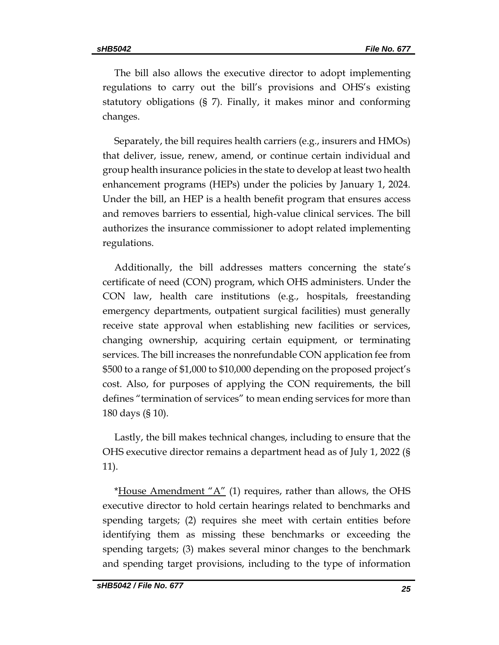The bill also allows the executive director to adopt implementing regulations to carry out the bill's provisions and OHS's existing statutory obligations (§ 7). Finally, it makes minor and conforming changes.

Separately, the bill requires health carriers (e.g., insurers and HMOs) that deliver, issue, renew, amend, or continue certain individual and group health insurance policies in the state to develop at least two health enhancement programs (HEPs) under the policies by January 1, 2024. Under the bill, an HEP is a health benefit program that ensures access and removes barriers to essential, high-value clinical services. The bill authorizes the insurance commissioner to adopt related implementing regulations.

Additionally, the bill addresses matters concerning the state's certificate of need (CON) program, which OHS administers. Under the CON law, health care institutions (e.g., hospitals, freestanding emergency departments, outpatient surgical facilities) must generally receive state approval when establishing new facilities or services, changing ownership, acquiring certain equipment, or terminating services. The bill increases the nonrefundable CON application fee from \$500 to a range of \$1,000 to \$10,000 depending on the proposed project's cost. Also, for purposes of applying the CON requirements, the bill defines "termination of services" to mean ending services for more than 180 days (§ 10).

Lastly, the bill makes technical changes, including to ensure that the OHS executive director remains a department head as of July 1, 2022 (§ 11).

\*House Amendment  $A''(1)$  requires, rather than allows, the OHS executive director to hold certain hearings related to benchmarks and spending targets; (2) requires she meet with certain entities before identifying them as missing these benchmarks or exceeding the spending targets; (3) makes several minor changes to the benchmark and spending target provisions, including to the type of information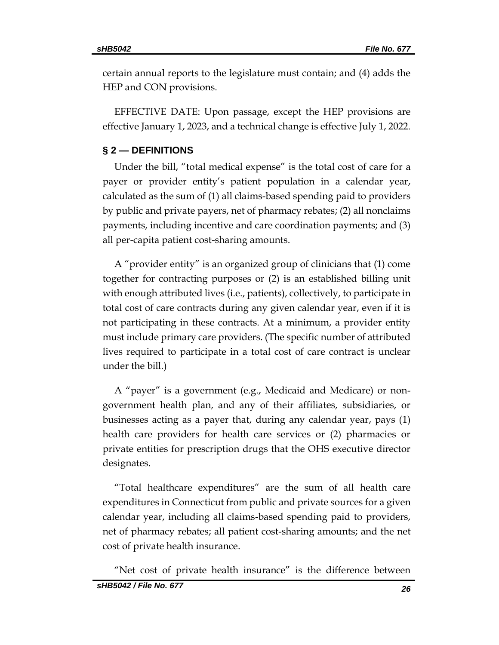certain annual reports to the legislature must contain; and (4) adds the HEP and CON provisions.

EFFECTIVE DATE: Upon passage, except the HEP provisions are effective January 1, 2023, and a technical change is effective July 1, 2022.

#### **§ 2 — DEFINITIONS**

Under the bill, "total medical expense" is the total cost of care for a payer or provider entity's patient population in a calendar year, calculated as the sum of (1) all claims-based spending paid to providers by public and private payers, net of pharmacy rebates; (2) all nonclaims payments, including incentive and care coordination payments; and (3) all per-capita patient cost-sharing amounts.

A "provider entity" is an organized group of clinicians that (1) come together for contracting purposes or (2) is an established billing unit with enough attributed lives (i.e., patients), collectively, to participate in total cost of care contracts during any given calendar year, even if it is not participating in these contracts. At a minimum, a provider entity must include primary care providers. (The specific number of attributed lives required to participate in a total cost of care contract is unclear under the bill.)

A "payer" is a government (e.g., Medicaid and Medicare) or nongovernment health plan, and any of their affiliates, subsidiaries, or businesses acting as a payer that, during any calendar year, pays (1) health care providers for health care services or (2) pharmacies or private entities for prescription drugs that the OHS executive director designates.

"Total healthcare expenditures" are the sum of all health care expenditures in Connecticut from public and private sources for a given calendar year, including all claims-based spending paid to providers, net of pharmacy rebates; all patient cost-sharing amounts; and the net cost of private health insurance.

*sHB5042 / File No. 677 26* "Net cost of private health insurance" is the difference between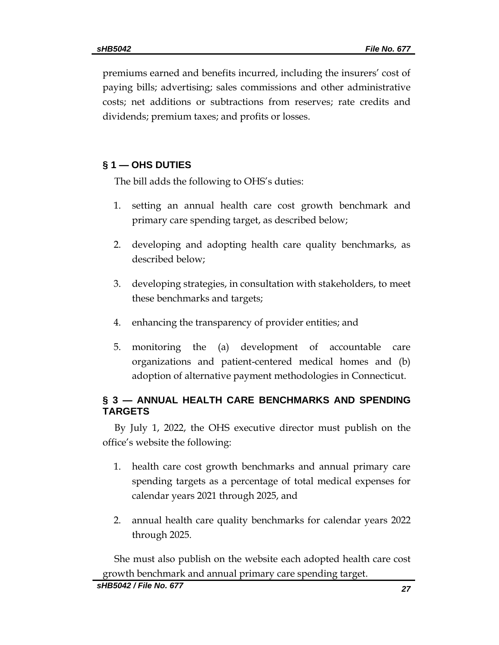premiums earned and benefits incurred, including the insurers' cost of paying bills; advertising; sales commissions and other administrative costs; net additions or subtractions from reserves; rate credits and dividends; premium taxes; and profits or losses.

# **§ 1 — OHS DUTIES**

The bill adds the following to OHS's duties:

- 1. setting an annual health care cost growth benchmark and primary care spending target, as described below;
- 2. developing and adopting health care quality benchmarks, as described below;
- 3. developing strategies, in consultation with stakeholders, to meet these benchmarks and targets;
- 4. enhancing the transparency of provider entities; and
- 5. monitoring the (a) development of accountable care organizations and patient-centered medical homes and (b) adoption of alternative payment methodologies in Connecticut.

# **§ 3 — ANNUAL HEALTH CARE BENCHMARKS AND SPENDING TARGETS**

By July 1, 2022, the OHS executive director must publish on the office's website the following:

- 1. health care cost growth benchmarks and annual primary care spending targets as a percentage of total medical expenses for calendar years 2021 through 2025, and
- 2. annual health care quality benchmarks for calendar years 2022 through 2025.

She must also publish on the website each adopted health care cost growth benchmark and annual primary care spending target.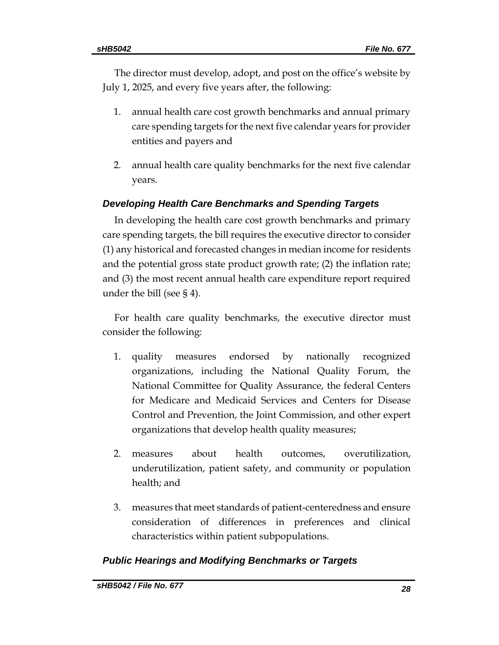The director must develop, adopt, and post on the office's website by July 1, 2025, and every five years after, the following:

- 1. annual health care cost growth benchmarks and annual primary care spending targets for the next five calendar years for provider entities and payers and
- 2. annual health care quality benchmarks for the next five calendar years.

# *Developing Health Care Benchmarks and Spending Targets*

In developing the health care cost growth benchmarks and primary care spending targets, the bill requires the executive director to consider (1) any historical and forecasted changes in median income for residents and the potential gross state product growth rate; (2) the inflation rate; and (3) the most recent annual health care expenditure report required under the bill (see § 4).

For health care quality benchmarks, the executive director must consider the following:

- 1. quality measures endorsed by nationally recognized organizations, including the National Quality Forum, the National Committee for Quality Assurance, the federal Centers for Medicare and Medicaid Services and Centers for Disease Control and Prevention, the Joint Commission, and other expert organizations that develop health quality measures;
- 2. measures about health outcomes, overutilization, underutilization, patient safety, and community or population health; and
- 3. measures that meet standards of patient-centeredness and ensure consideration of differences in preferences and clinical characteristics within patient subpopulations.

# *Public Hearings and Modifying Benchmarks or Targets*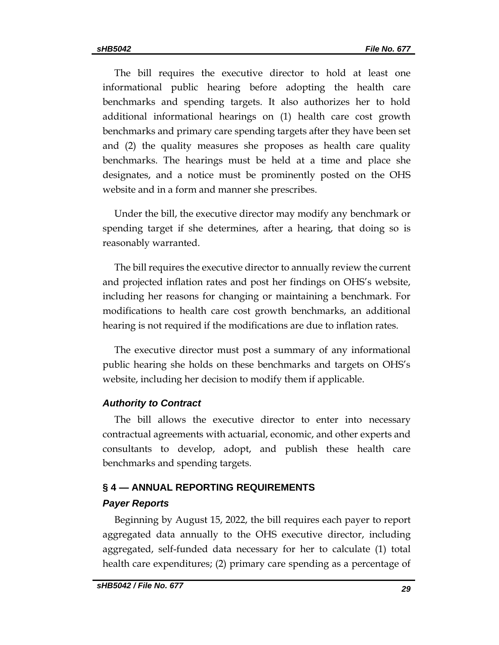The bill requires the executive director to hold at least one informational public hearing before adopting the health care benchmarks and spending targets. It also authorizes her to hold additional informational hearings on (1) health care cost growth benchmarks and primary care spending targets after they have been set and (2) the quality measures she proposes as health care quality benchmarks. The hearings must be held at a time and place she designates, and a notice must be prominently posted on the OHS website and in a form and manner she prescribes.

Under the bill, the executive director may modify any benchmark or spending target if she determines, after a hearing, that doing so is reasonably warranted.

The bill requires the executive director to annually review the current and projected inflation rates and post her findings on OHS's website, including her reasons for changing or maintaining a benchmark. For modifications to health care cost growth benchmarks, an additional hearing is not required if the modifications are due to inflation rates.

The executive director must post a summary of any informational public hearing she holds on these benchmarks and targets on OHS's website, including her decision to modify them if applicable.

#### *Authority to Contract*

The bill allows the executive director to enter into necessary contractual agreements with actuarial, economic, and other experts and consultants to develop, adopt, and publish these health care benchmarks and spending targets.

### **§ 4 — ANNUAL REPORTING REQUIREMENTS**

#### *Payer Reports*

Beginning by August 15, 2022, the bill requires each payer to report aggregated data annually to the OHS executive director, including aggregated, self-funded data necessary for her to calculate (1) total health care expenditures; (2) primary care spending as a percentage of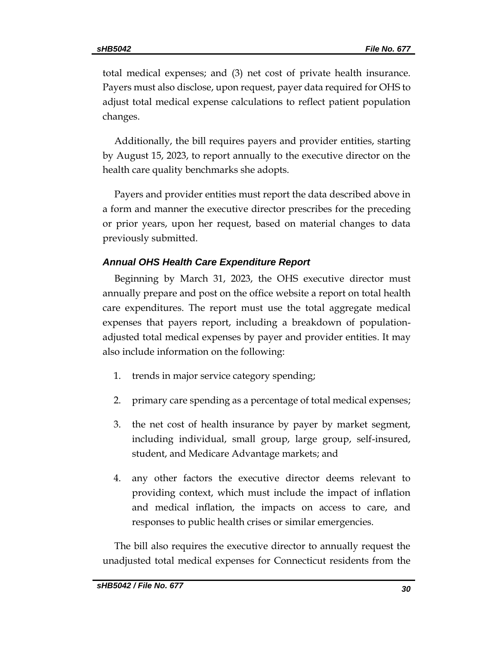total medical expenses; and (3) net cost of private health insurance. Payers must also disclose, upon request, payer data required for OHS to adjust total medical expense calculations to reflect patient population changes.

Additionally, the bill requires payers and provider entities, starting by August 15, 2023, to report annually to the executive director on the health care quality benchmarks she adopts.

Payers and provider entities must report the data described above in a form and manner the executive director prescribes for the preceding or prior years, upon her request, based on material changes to data previously submitted.

# *Annual OHS Health Care Expenditure Report*

Beginning by March 31, 2023, the OHS executive director must annually prepare and post on the office website a report on total health care expenditures. The report must use the total aggregate medical expenses that payers report, including a breakdown of populationadjusted total medical expenses by payer and provider entities. It may also include information on the following:

- 1. trends in major service category spending;
- 2. primary care spending as a percentage of total medical expenses;
- 3. the net cost of health insurance by payer by market segment, including individual, small group, large group, self-insured, student, and Medicare Advantage markets; and
- 4. any other factors the executive director deems relevant to providing context, which must include the impact of inflation and medical inflation, the impacts on access to care, and responses to public health crises or similar emergencies.

The bill also requires the executive director to annually request the unadjusted total medical expenses for Connecticut residents from the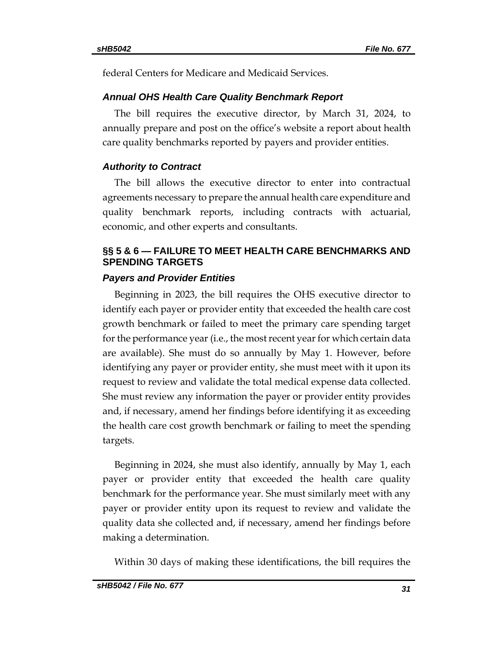federal Centers for Medicare and Medicaid Services.

#### *Annual OHS Health Care Quality Benchmark Report*

The bill requires the executive director, by March 31, 2024, to annually prepare and post on the office's website a report about health care quality benchmarks reported by payers and provider entities.

#### *Authority to Contract*

The bill allows the executive director to enter into contractual agreements necessary to prepare the annual health care expenditure and quality benchmark reports, including contracts with actuarial, economic, and other experts and consultants.

## **§§ 5 & 6 — FAILURE TO MEET HEALTH CARE BENCHMARKS AND SPENDING TARGETS**

### *Payers and Provider Entities*

Beginning in 2023, the bill requires the OHS executive director to identify each payer or provider entity that exceeded the health care cost growth benchmark or failed to meet the primary care spending target for the performance year (i.e., the most recent year for which certain data are available). She must do so annually by May 1. However, before identifying any payer or provider entity, she must meet with it upon its request to review and validate the total medical expense data collected. She must review any information the payer or provider entity provides and, if necessary, amend her findings before identifying it as exceeding the health care cost growth benchmark or failing to meet the spending targets.

Beginning in 2024, she must also identify, annually by May 1, each payer or provider entity that exceeded the health care quality benchmark for the performance year. She must similarly meet with any payer or provider entity upon its request to review and validate the quality data she collected and, if necessary, amend her findings before making a determination.

Within 30 days of making these identifications, the bill requires the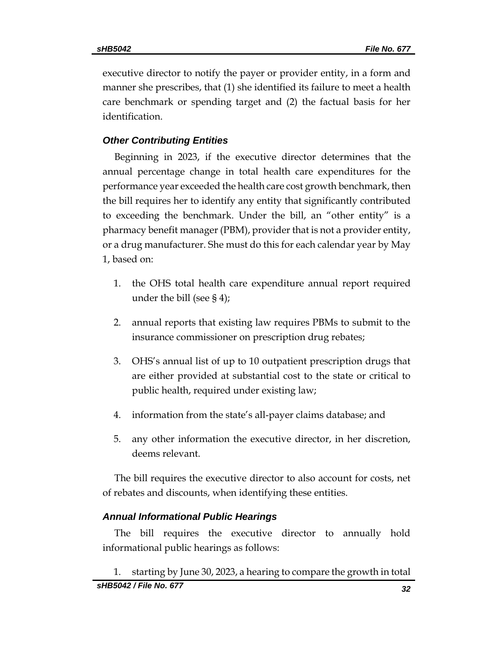executive director to notify the payer or provider entity, in a form and manner she prescribes, that (1) she identified its failure to meet a health care benchmark or spending target and (2) the factual basis for her identification.

# *Other Contributing Entities*

Beginning in 2023, if the executive director determines that the annual percentage change in total health care expenditures for the performance year exceeded the health care cost growth benchmark, then the bill requires her to identify any entity that significantly contributed to exceeding the benchmark. Under the bill, an "other entity" is a pharmacy benefit manager (PBM), provider that is not a provider entity, or a drug manufacturer. She must do this for each calendar year by May 1, based on:

- 1. the OHS total health care expenditure annual report required under the bill (see § 4);
- 2. annual reports that existing law requires PBMs to submit to the insurance commissioner on prescription drug rebates;
- 3. OHS's annual list of up to 10 outpatient prescription drugs that are either provided at substantial cost to the state or critical to public health, required under existing law;
- 4. information from the state's all-payer claims database; and
- 5. any other information the executive director, in her discretion, deems relevant.

The bill requires the executive director to also account for costs, net of rebates and discounts, when identifying these entities.

# *Annual Informational Public Hearings*

The bill requires the executive director to annually hold informational public hearings as follows:

*sHB5042 / File No. 677 32* 1. starting by June 30, 2023, a hearing to compare the growth in total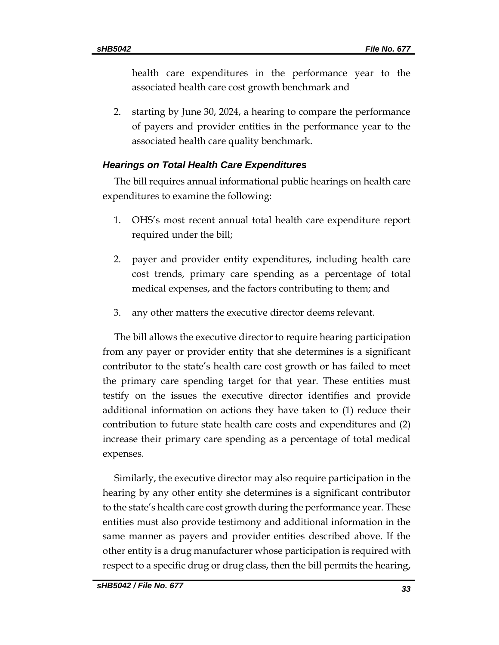health care expenditures in the performance year to the associated health care cost growth benchmark and

2. starting by June 30, 2024, a hearing to compare the performance of payers and provider entities in the performance year to the associated health care quality benchmark.

# *Hearings on Total Health Care Expenditures*

The bill requires annual informational public hearings on health care expenditures to examine the following:

- 1. OHS's most recent annual total health care expenditure report required under the bill;
- 2. payer and provider entity expenditures, including health care cost trends, primary care spending as a percentage of total medical expenses, and the factors contributing to them; and
- 3. any other matters the executive director deems relevant.

The bill allows the executive director to require hearing participation from any payer or provider entity that she determines is a significant contributor to the state's health care cost growth or has failed to meet the primary care spending target for that year. These entities must testify on the issues the executive director identifies and provide additional information on actions they have taken to (1) reduce their contribution to future state health care costs and expenditures and (2) increase their primary care spending as a percentage of total medical expenses.

Similarly, the executive director may also require participation in the hearing by any other entity she determines is a significant contributor to the state's health care cost growth during the performance year. These entities must also provide testimony and additional information in the same manner as payers and provider entities described above. If the other entity is a drug manufacturer whose participation is required with respect to a specific drug or drug class, then the bill permits the hearing,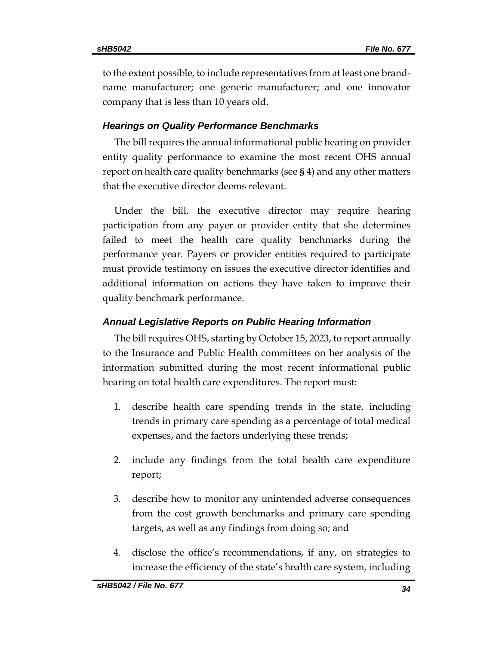to the extent possible, to include representatives from at least one brandname manufacturer; one generic manufacturer; and one innovator company that is less than 10 years old.

#### *Hearings on Quality Performance Benchmarks*

The bill requires the annual informational public hearing on provider entity quality performance to examine the most recent OHS annual report on health care quality benchmarks (see § 4) and any other matters that the executive director deems relevant.

Under the bill, the executive director may require hearing participation from any payer or provider entity that she determines failed to meet the health care quality benchmarks during the performance year. Payers or provider entities required to participate must provide testimony on issues the executive director identifies and additional information on actions they have taken to improve their quality benchmark performance.

#### *Annual Legislative Reports on Public Hearing Information*

The bill requires OHS, starting by October 15, 2023, to report annually to the Insurance and Public Health committees on her analysis of the information submitted during the most recent informational public hearing on total health care expenditures. The report must:

- 1. describe health care spending trends in the state, including trends in primary care spending as a percentage of total medical expenses, and the factors underlying these trends;
- 2. include any findings from the total health care expenditure report;
- 3. describe how to monitor any unintended adverse consequences from the cost growth benchmarks and primary care spending targets, as well as any findings from doing so; and
- 4. disclose the office's recommendations, if any, on strategies to increase the efficiency of the state's health care system, including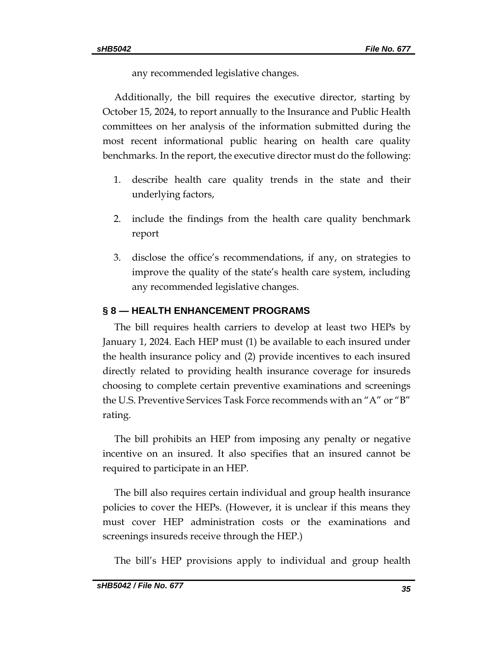any recommended legislative changes.

Additionally, the bill requires the executive director, starting by October 15, 2024, to report annually to the Insurance and Public Health committees on her analysis of the information submitted during the most recent informational public hearing on health care quality benchmarks. In the report, the executive director must do the following:

- 1. describe health care quality trends in the state and their underlying factors,
- 2. include the findings from the health care quality benchmark report
- 3. disclose the office's recommendations, if any, on strategies to improve the quality of the state's health care system, including any recommended legislative changes.

# **§ 8 — HEALTH ENHANCEMENT PROGRAMS**

The bill requires health carriers to develop at least two HEPs by January 1, 2024. Each HEP must (1) be available to each insured under the health insurance policy and (2) provide incentives to each insured directly related to providing health insurance coverage for insureds choosing to complete certain preventive examinations and screenings the U.S. Preventive Services Task Force recommends with an "A" or "B" rating.

The bill prohibits an HEP from imposing any penalty or negative incentive on an insured. It also specifies that an insured cannot be required to participate in an HEP.

The bill also requires certain individual and group health insurance policies to cover the HEPs. (However, it is unclear if this means they must cover HEP administration costs or the examinations and screenings insureds receive through the HEP.)

The bill's HEP provisions apply to individual and group health